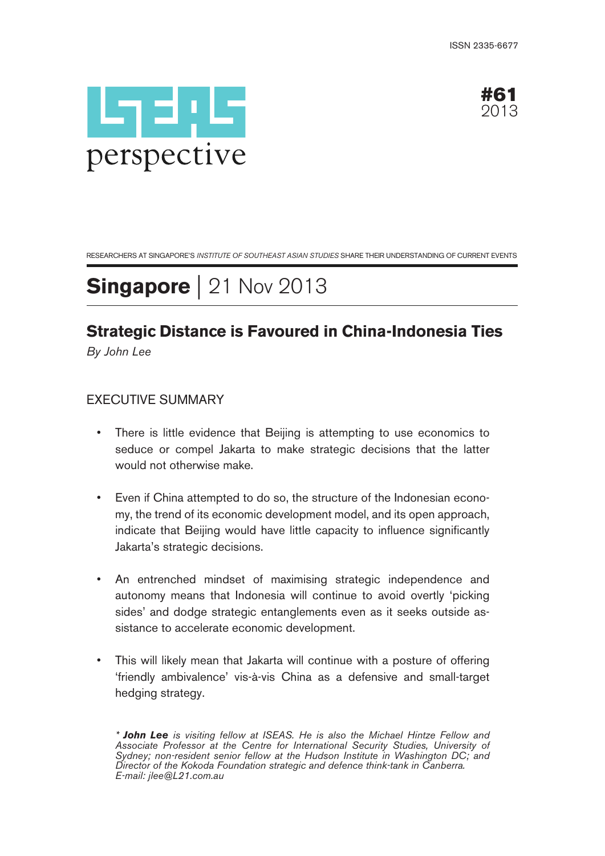



RESEARCHERS AT SINGAPORE'S INSTITUTE OF SOUTHEAST ASIAN STUDIES SHARE THEIR UNDERSTANDING OF CURRENT EVENTS

# **Singapore** | 21 Nov 2013

## **Strategic Distance is Favoured in China-Indonesia Ties**

By John Lee

## EXECUTIVE SUMMARY

- There is little evidence that Beijing is attempting to use economics to seduce or compel Jakarta to make strategic decisions that the latter would not otherwise make.
- Even if China attempted to do so, the structure of the Indonesian economy, the trend of its economic development model, and its open approach, indicate that Beijing would have little capacity to influence significantly Jakarta's strategic decisions.
- An entrenched mindset of maximising strategic independence and autonomy means that Indonesia will continue to avoid overtly 'picking sides' and dodge strategic entanglements even as it seeks outside assistance to accelerate economic development.
- This will likely mean that Jakarta will continue with a posture of offering 'friendly ambivalence' vis-à-vis China as a defensive and small-target hedging strategy.

<sup>\*</sup> **John Lee** is visiting fellow at ISEAS. He is also the Michael Hintze Fellow and Associate Professor at the Centre for International Security Studies, University of Sydney; non-resident senior fellow at the Hudson Institute in Washington DC; and Director of the Kokoda Foundation strategic and defence think-tank in Canberra. E-mail: jlee@L21.com.au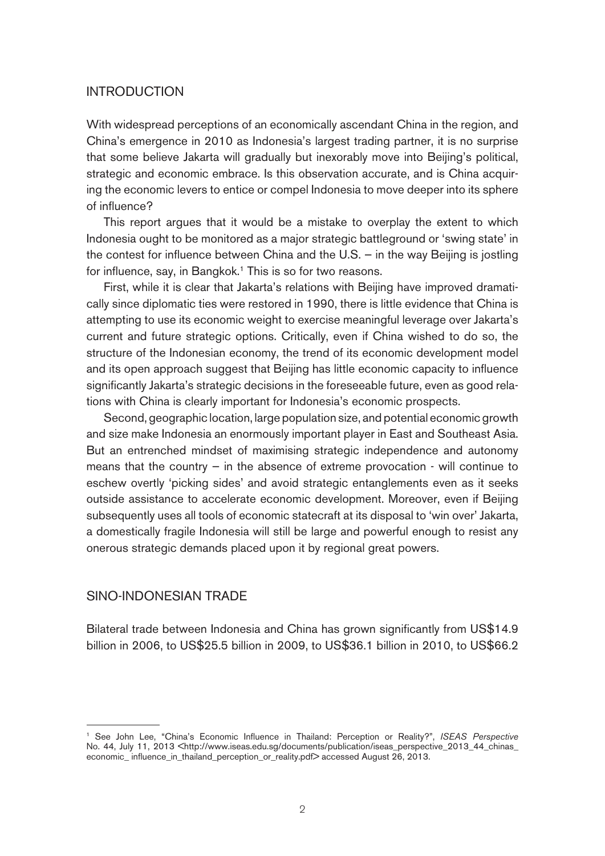#### INTRODUCTION

With widespread perceptions of an economically ascendant China in the region, and China's emergence in 2010 as Indonesia's largest trading partner, it is no surprise that some believe Jakarta will gradually but inexorably move into Beijing's political, strategic and economic embrace. Is this observation accurate, and is China acquiring the economic levers to entice or compel Indonesia to move deeper into its sphere of influence?

This report argues that it would be a mistake to overplay the extent to which Indonesia ought to be monitored as a major strategic battleground or 'swing state' in the contest for influence between China and the U.S. — in the way Beijing is jostling for influence, say, in Bangkok.<sup>1</sup> This is so for two reasons.

First, while it is clear that Jakarta's relations with Beijing have improved dramatically since diplomatic ties were restored in 1990, there is little evidence that China is attempting to use its economic weight to exercise meaningful leverage over Jakarta's current and future strategic options. Critically, even if China wished to do so, the structure of the Indonesian economy, the trend of its economic development model and its open approach suggest that Beijing has little economic capacity to influence significantly Jakarta's strategic decisions in the foreseeable future, even as good relations with China is clearly important for Indonesia's economic prospects.

Second, geographic location, large population size, and potential economic growth and size make Indonesia an enormously important player in East and Southeast Asia. But an entrenched mindset of maximising strategic independence and autonomy means that the country  $-$  in the absence of extreme provocation  $\cdot$  will continue to eschew overtly 'picking sides' and avoid strategic entanglements even as it seeks outside assistance to accelerate economic development. Moreover, even if Beijing subsequently uses all tools of economic statecraft at its disposal to 'win over' Jakarta, a domestically fragile Indonesia will still be large and powerful enough to resist any onerous strategic demands placed upon it by regional great powers.

### SINO-INDONESIAN TRADE

Bilateral trade between Indonesia and China has grown significantly from US\$14.9 billion in 2006, to US\$25.5 billion in 2009, to US\$36.1 billion in 2010, to US\$66.2

<sup>&</sup>lt;sup>1</sup> See John Lee, "China's Economic Influence in Thailand: Perception or Reality?", ISEAS Perspective No. 44, July 11, 2013 <http://www.iseas.edu.sg/documents/publication/iseas\_perspective\_2013\_44\_chinas\_ economic\_ influence\_in\_thailand\_perception\_or\_reality.pdf> accessed August 26, 2013.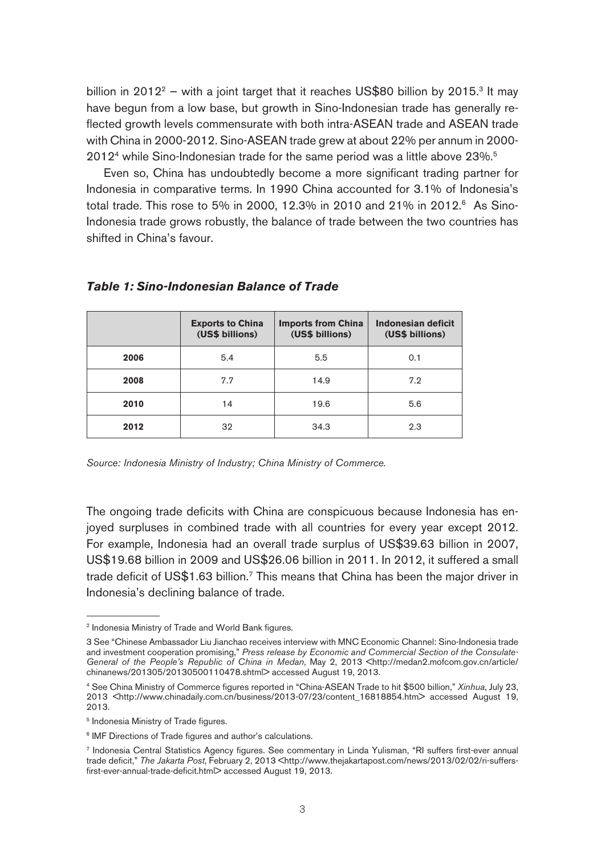billion in 2012<sup>2</sup> – with a joint target that it reaches US\$80 billion by 2015.<sup>3</sup> It may have begun from a low base, but growth in Sino-Indonesian trade has generally reflected growth levels commensurate with both intra-ASEAN trade and ASEAN trade with China in 2000-2012. Sino-ASEAN trade grew at about 22% per annum in 2000- 2012<sup>4</sup> while Sino-Indonesian trade for the same period was a little above 23%.<sup>5</sup>

Even so, China has undoubtedly become a more significant trading partner for Indonesia in comparative terms. In 1990 China accounted for 3.1% of Indonesia's total trade. This rose to 5% in 2000, 12.3% in 2010 and 21% in 2012.<sup>6</sup> As Sino-Indonesia trade grows robustly, the balance of trade between the two countries has shifted in China's favour.

|      | <b>Exports to China</b><br>(US\$ billions) | <b>Imports from China</b><br>(US\$ billions) | Indonesian deficit<br>(US\$ billions) |
|------|--------------------------------------------|----------------------------------------------|---------------------------------------|
| 2006 | 5.4                                        | 5.5                                          | 0.1                                   |
| 2008 | 7.7                                        | 14.9                                         | 7.2                                   |
| 2010 | 14                                         | 19.6                                         | 5.6                                   |
| 2012 | 32                                         | 34.3                                         | 2.3                                   |

#### **Table 1: Sino-Indonesian Balance of Trade**

Source: Indonesia Ministry of Industry; China Ministry of Commerce.

The ongoing trade deficits with China are conspicuous because Indonesia has enjoyed surpluses in combined trade with all countries for every year except 2012. For example, Indonesia had an overall trade surplus of US\$39.63 billion in 2007, US\$19.68 billion in 2009 and US\$26.06 billion in 2011. In 2012, it suffered a small trade deficit of US\$1.63 billion.<sup>7</sup> This means that China has been the major driver in Indonesia's declining balance of trade.

<sup>&</sup>lt;sup>2</sup> Indonesia Ministry of Trade and World Bank figures.

<sup>3</sup> See "Chinese Ambassador Liu Jianchao receives interview with MNC Economic Channel: Sino-Indonesia trade and investment cooperation promising," Press release by Economic and Commercial Section of the Consulate-General of the People's Republic of China in Medan, May 2, 2013 <http://medan2.mofcom.gov.cn/article/ chinanews/201305/20130500110478.shtml> accessed August 19, 2013.

<sup>4</sup> See China Ministry of Commerce figures reported in "China-ASEAN Trade to hit \$500 billion," Xinhua, July 23, 2013 <http://www.chinadaily.com.cn/business/2013-07/23/content\_16818854.htm> accessed August 19, 2013.

<sup>5</sup> Indonesia Ministry of Trade figures.

<sup>&</sup>lt;sup>6</sup> IMF Directions of Trade figures and author's calculations.

<sup>7</sup> Indonesia Central Statistics Agency figures. See commentary in Linda Yulisman, "RI suffers first-ever annual trade deficit," The Jakarta Post, February 2, 2013 <http://www.thejakartapost.com/news/2013/02/02/ri-suffersfirst-ever-annual-trade-deficit.html> accessed August 19, 2013.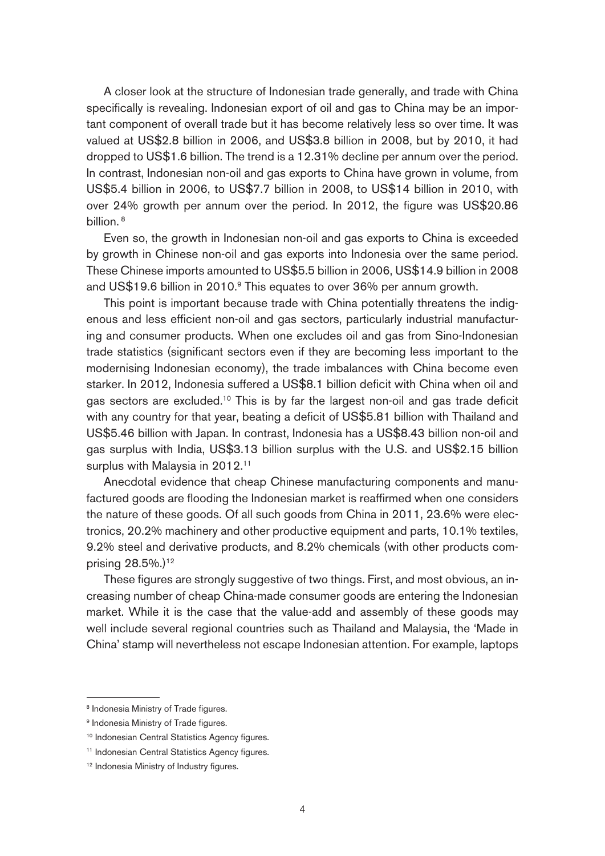A closer look at the structure of Indonesian trade generally, and trade with China specifically is revealing. Indonesian export of oil and gas to China may be an important component of overall trade but it has become relatively less so over time. It was valued at US\$2.8 billion in 2006, and US\$3.8 billion in 2008, but by 2010, it had dropped to US\$1.6 billion. The trend is a 12.31% decline per annum over the period. In contrast, Indonesian non-oil and gas exports to China have grown in volume, from US\$5.4 billion in 2006, to US\$7.7 billion in 2008, to US\$14 billion in 2010, with over 24% growth per annum over the period. In 2012, the figure was US\$20.86 billion.<sup>8</sup>

Even so, the growth in Indonesian non-oil and gas exports to China is exceeded by growth in Chinese non-oil and gas exports into Indonesia over the same period. These Chinese imports amounted to US\$5.5 billion in 2006, US\$14.9 billion in 2008 and US\$19.6 billion in 2010.<sup>9</sup> This equates to over 36% per annum growth.

This point is important because trade with China potentially threatens the indigenous and less efficient non-oil and gas sectors, particularly industrial manufacturing and consumer products. When one excludes oil and gas from Sino-Indonesian trade statistics (significant sectors even if they are becoming less important to the modernising Indonesian economy), the trade imbalances with China become even starker. In 2012, Indonesia suffered a US\$8.1 billion deficit with China when oil and gas sectors are excluded.<sup>10</sup> This is by far the largest non-oil and gas trade deficit with any country for that year, beating a deficit of US\$5.81 billion with Thailand and US\$5.46 billion with Japan. In contrast, Indonesia has a US\$8.43 billion non-oil and gas surplus with India, US\$3.13 billion surplus with the U.S. and US\$2.15 billion surplus with Malaysia in 2012.<sup>11</sup>

Anecdotal evidence that cheap Chinese manufacturing components and manufactured goods are flooding the Indonesian market is reaffirmed when one considers the nature of these goods. Of all such goods from China in 2011, 23.6% were electronics, 20.2% machinery and other productive equipment and parts, 10.1% textiles, 9.2% steel and derivative products, and 8.2% chemicals (with other products comprising 28.5%.)<sup>12</sup>

These figures are strongly suggestive of two things. First, and most obvious, an increasing number of cheap China-made consumer goods are entering the Indonesian market. While it is the case that the value-add and assembly of these goods may well include several regional countries such as Thailand and Malaysia, the 'Made in China' stamp will nevertheless not escape Indonesian attention. For example, laptops

<sup>8</sup> Indonesia Ministry of Trade figures.

<sup>&</sup>lt;sup>9</sup> Indonesia Ministry of Trade figures.

<sup>&</sup>lt;sup>10</sup> Indonesian Central Statistics Agency figures.

<sup>&</sup>lt;sup>11</sup> Indonesian Central Statistics Agency figures.

<sup>&</sup>lt;sup>12</sup> Indonesia Ministry of Industry figures.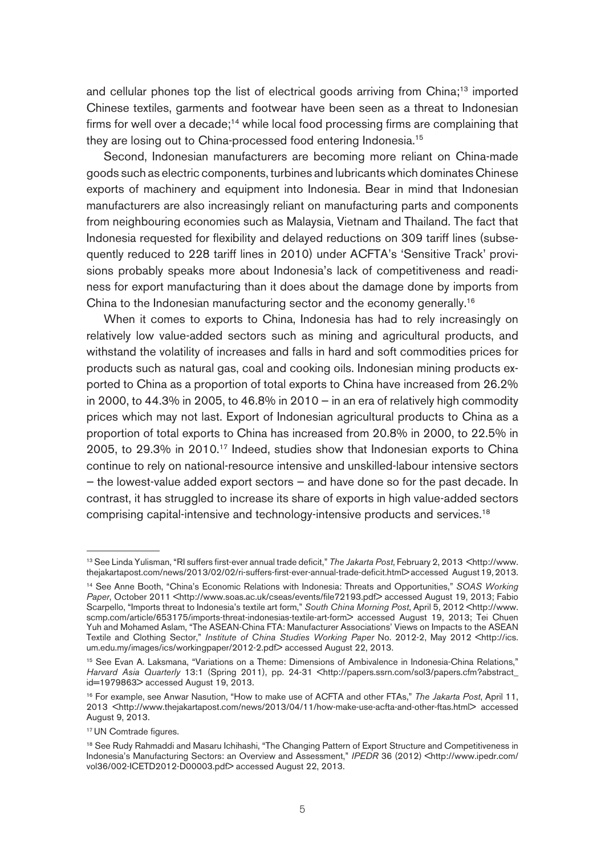and cellular phones top the list of electrical goods arriving from China;<sup>13</sup> imported Chinese textiles, garments and footwear have been seen as a threat to Indonesian firms for well over a decade;<sup>14</sup> while local food processing firms are complaining that they are losing out to China-processed food entering Indonesia.<sup>15</sup>

Second, Indonesian manufacturers are becoming more reliant on China-made goods such as electric components, turbines and lubricants which dominates Chinese exports of machinery and equipment into Indonesia. Bear in mind that Indonesian manufacturers are also increasingly reliant on manufacturing parts and components from neighbouring economies such as Malaysia, Vietnam and Thailand. The fact that Indonesia requested for flexibility and delayed reductions on 309 tariff lines (subsequently reduced to 228 tariff lines in 2010) under ACFTA's 'Sensitive Track' provisions probably speaks more about Indonesia's lack of competitiveness and readiness for export manufacturing than it does about the damage done by imports from China to the Indonesian manufacturing sector and the economy generally.16

When it comes to exports to China, Indonesia has had to rely increasingly on relatively low value-added sectors such as mining and agricultural products, and withstand the volatility of increases and falls in hard and soft commodities prices for products such as natural gas, coal and cooking oils. Indonesian mining products exported to China as a proportion of total exports to China have increased from 26.2% in 2000, to 44.3% in 2005, to 46.8% in 2010  $-$  in an era of relatively high commodity prices which may not last. Export of Indonesian agricultural products to China as a proportion of total exports to China has increased from 20.8% in 2000, to 22.5% in 2005, to 29.3% in 2010.17 Indeed, studies show that Indonesian exports to China continue to rely on national-resource intensive and unskilled-labour intensive sectors — the lowest-value added export sectors — and have done so for the past decade. In contrast, it has struggled to increase its share of exports in high value-added sectors comprising capital-intensive and technology-intensive products and services.<sup>18</sup>

<sup>&</sup>lt;sup>13</sup> See Linda Yulisman, "RI suffers first-ever annual trade deficit," The Jakarta Post, February 2, 2013 <http://www. thejakartapost.com/news/2013/02/02/ri-suffers-first-ever-annual-trade-deficit.html> accessed August 19, 2013.

<sup>&</sup>lt;sup>14</sup> See Anne Booth, "China's Economic Relations with Indonesia: Threats and Opportunities," SOAS Working Paper, October 2011 <http://www.soas.ac.uk/cseas/events/file72193.pdf> accessed August 19, 2013; Fabio Scarpello, "Imports threat to Indonesia's textile art form," South China Morning Post, April 5, 2012 <http://www. scmp.com/article/653175/imports-threat-indonesias-textile-art-form> accessed August 19, 2013; Tei Chuen Yuh and Mohamed Aslam, "The ASEAN-China FTA: Manufacturer Associations' Views on Impacts to the ASEAN Textile and Clothing Sector," Institute of China Studies Working Paper No. 2012-2, May 2012 <http://ics. um.edu.my/images/ics/workingpaper/2012-2.pdf> accessed August 22, 2013.

<sup>15</sup> See Evan A. Laksmana, "Variations on a Theme: Dimensions of Ambivalence in Indonesia-China Relations," Harvard Asia Quarterly 13:1 (Spring 2011), pp. 24-31 <http://papers.ssrn.com/sol3/papers.cfm?abstract\_ id=1979863> accessed August 19, 2013.

<sup>&</sup>lt;sup>16</sup> For example, see Anwar Nasution, "How to make use of ACFTA and other FTAs," The Jakarta Post, April 11, 2013 <http://www.thejakartapost.com/news/2013/04/11/how-make-use-acfta-and-other-ftas.html> accessed August 9, 2013.

<sup>&</sup>lt;sup>17</sup> UN Comtrade figures.

<sup>&</sup>lt;sup>18</sup> See Rudy Rahmaddi and Masaru Ichihashi, "The Changing Pattern of Export Structure and Competitiveness in Indonesia's Manufacturing Sectors: an Overview and Assessment," IPEDR 36 (2012) <http://www.ipedr.com/ vol36/002-ICETD2012-D00003.pdf> accessed August 22, 2013.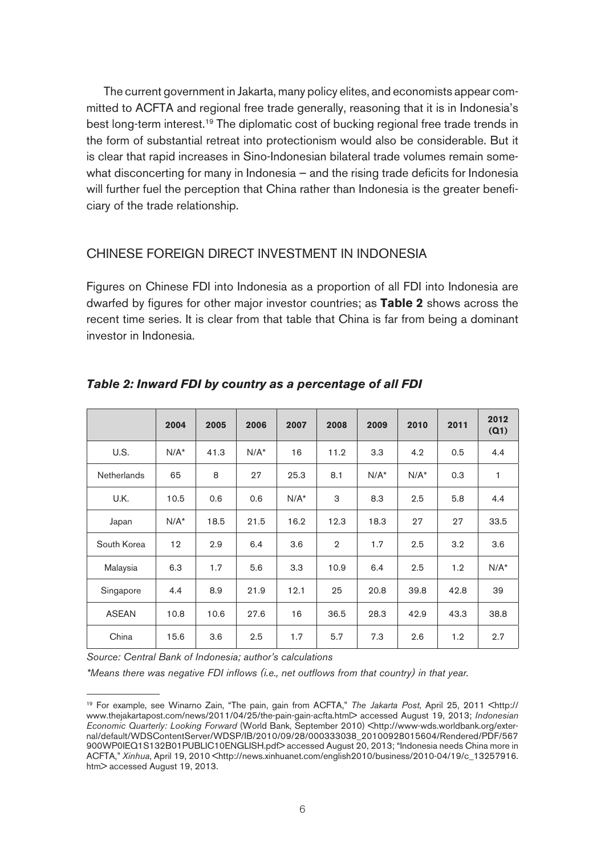The current government in Jakarta, many policy elites, and economists appear committed to ACFTA and regional free trade generally, reasoning that it is in Indonesia's best long-term interest.<sup>19</sup> The diplomatic cost of bucking regional free trade trends in the form of substantial retreat into protectionism would also be considerable. But it is clear that rapid increases in Sino-Indonesian bilateral trade volumes remain somewhat disconcerting for many in Indonesia — and the rising trade deficits for Indonesia will further fuel the perception that China rather than Indonesia is the greater beneficiary of the trade relationship.

## CHINESE FOREIGN DIRECT INVESTMENT IN INDONESIA

Figures on Chinese FDI into Indonesia as a proportion of all FDI into Indonesia are dwarfed by figures for other major investor countries; as **Table 2** shows across the recent time series. It is clear from that table that China is far from being a dominant investor in Indonesia.

|                    | 2004    | 2005 | 2006    | 2007    | 2008           | 2009    | 2010    | 2011 | 2012<br>(Q1) |
|--------------------|---------|------|---------|---------|----------------|---------|---------|------|--------------|
| U.S.               | $N/A^*$ | 41.3 | $N/A^*$ | 16      | 11.2           | 3.3     | 4.2     | 0.5  | 4.4          |
| <b>Netherlands</b> | 65      | 8    | 27      | 25.3    | 8.1            | $N/A^*$ | $N/A^*$ | 0.3  | 1            |
| U.K.               | 10.5    | 0.6  | 0.6     | $N/A^*$ | 3              | 8.3     | 2.5     | 5.8  | 4.4          |
| Japan              | $N/A^*$ | 18.5 | 21.5    | 16.2    | 12.3           | 18.3    | 27      | 27   | 33.5         |
| South Korea        | 12      | 2.9  | 6.4     | 3.6     | $\overline{2}$ | 1.7     | 2.5     | 3.2  | 3.6          |
| Malaysia           | 6.3     | 1.7  | 5.6     | 3.3     | 10.9           | 6.4     | 2.5     | 1.2  | $N/A^*$      |
| Singapore          | 4.4     | 8.9  | 21.9    | 12.1    | 25             | 20.8    | 39.8    | 42.8 | 39           |
| <b>ASEAN</b>       | 10.8    | 10.6 | 27.6    | 16      | 36.5           | 28.3    | 42.9    | 43.3 | 38.8         |
| China              | 15.6    | 3.6  | 2.5     | 1.7     | 5.7            | 7.3     | 2.6     | 1.2  | 2.7          |

## **Table 2: Inward FDI by country as a percentage of all FDI**

Source: Central Bank of Indonesia; author's calculations

\*Means there was negative FDI inflows (i.e., net outflows from that country) in that year.

<sup>19</sup> For example, see Winarno Zain, "The pain, gain from ACFTA," The Jakarta Post, April 25, 2011 <http:// www.thejakartapost.com/news/2011/04/25/the-pain-gain-acfta.html> accessed August 19, 2013; Indonesian Economic Quarterly: Looking Forward (World Bank, September 2010) <http://www-wds.worldbank.org/external/default/WDSContentServer/WDSP/IB/2010/09/28/000333038\_20100928015604/Rendered/PDF/567 900WP0IEQ1S132B01PUBLIC10ENGLISH.pdf> accessed August 20, 2013; "Indonesia needs China more in ACFTA," Xinhua, April 19, 2010 <http://news.xinhuanet.com/english2010/business/2010-04/19/c\_13257916. htm> accessed August 19, 2013.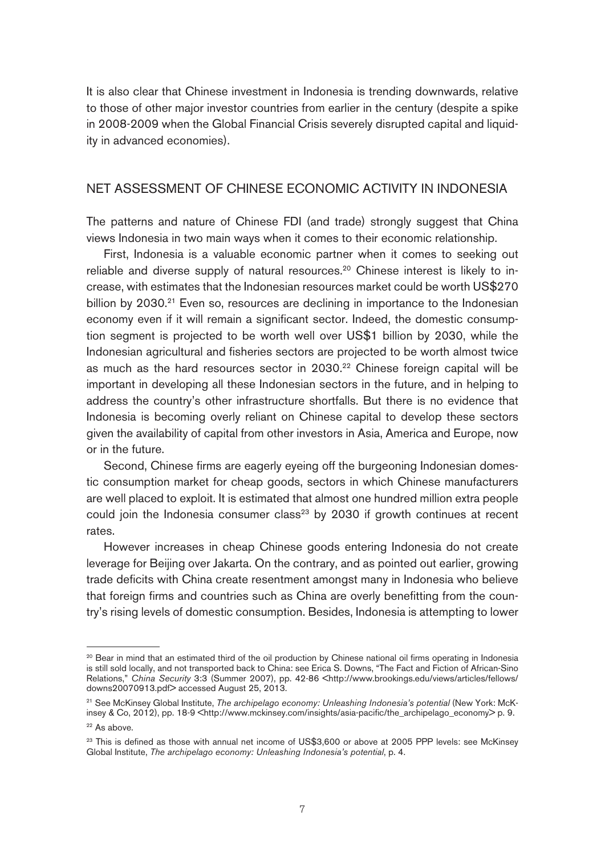It is also clear that Chinese investment in Indonesia is trending downwards, relative to those of other major investor countries from earlier in the century (despite a spike in 2008-2009 when the Global Financial Crisis severely disrupted capital and liquidity in advanced economies).

## NET ASSESSMENT OF CHINESE ECONOMIC ACTIVITY IN INDONESIA

The patterns and nature of Chinese FDI (and trade) strongly suggest that China views Indonesia in two main ways when it comes to their economic relationship.

First, Indonesia is a valuable economic partner when it comes to seeking out reliable and diverse supply of natural resources.<sup>20</sup> Chinese interest is likely to increase, with estimates that the Indonesian resources market could be worth US\$270 billion by 2030.<sup>21</sup> Even so, resources are declining in importance to the Indonesian economy even if it will remain a significant sector. Indeed, the domestic consumption segment is projected to be worth well over US\$1 billion by 2030, while the Indonesian agricultural and fisheries sectors are projected to be worth almost twice as much as the hard resources sector in 2030.<sup>22</sup> Chinese foreign capital will be important in developing all these Indonesian sectors in the future, and in helping to address the country's other infrastructure shortfalls. But there is no evidence that Indonesia is becoming overly reliant on Chinese capital to develop these sectors given the availability of capital from other investors in Asia, America and Europe, now or in the future.

Second, Chinese firms are eagerly eyeing off the burgeoning Indonesian domestic consumption market for cheap goods, sectors in which Chinese manufacturers are well placed to exploit. It is estimated that almost one hundred million extra people could join the Indonesia consumer class<sup>23</sup> by 2030 if growth continues at recent rates.

However increases in cheap Chinese goods entering Indonesia do not create leverage for Beijing over Jakarta. On the contrary, and as pointed out earlier, growing trade deficits with China create resentment amongst many in Indonesia who believe that foreign firms and countries such as China are overly benefitting from the country's rising levels of domestic consumption. Besides, Indonesia is attempting to lower

<sup>&</sup>lt;sup>20</sup> Bear in mind that an estimated third of the oil production by Chinese national oil firms operating in Indonesia is still sold locally, and not transported back to China: see Erica S. Downs, "The Fact and Fiction of African-Sino Relations," China Security 3:3 (Summer 2007), pp. 42-86 <http://www.brookings.edu/views/articles/fellows/ downs20070913.pdf> accessed August 25, 2013.

<sup>&</sup>lt;sup>21</sup> See McKinsey Global Institute, The archipelago economy: Unleashing Indonesia's potential (New York: McKinsey & Co, 2012), pp. 18-9 <http://www.mckinsey.com/insights/asia-pacific/the\_archipelago\_economy> p. 9.

<sup>&</sup>lt;sup>22</sup> As above.

<sup>&</sup>lt;sup>23</sup> This is defined as those with annual net income of US\$3,600 or above at 2005 PPP levels: see McKinsey Global Institute, The archipelago economy: Unleashing Indonesia's potential, p. 4.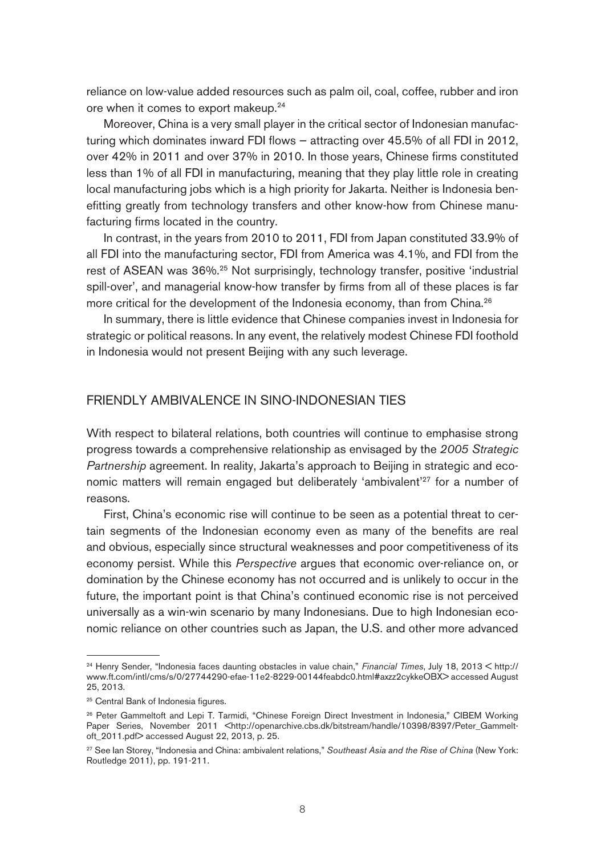reliance on low-value added resources such as palm oil, coal, coffee, rubber and iron ore when it comes to export makeup.<sup>24</sup>

Moreover, China is a very small player in the critical sector of Indonesian manufacturing which dominates inward FDI flows — attracting over 45.5% of all FDI in 2012, over 42% in 2011 and over 37% in 2010. In those years, Chinese firms constituted less than 1% of all FDI in manufacturing, meaning that they play little role in creating local manufacturing jobs which is a high priority for Jakarta. Neither is Indonesia benefitting greatly from technology transfers and other know-how from Chinese manufacturing firms located in the country.

In contrast, in the years from 2010 to 2011, FDI from Japan constituted 33.9% of all FDI into the manufacturing sector, FDI from America was 4.1%, and FDI from the rest of ASEAN was 36%.<sup>25</sup> Not surprisingly, technology transfer, positive 'industrial spill-over', and managerial know-how transfer by firms from all of these places is far more critical for the development of the Indonesia economy, than from China.<sup>26</sup>

In summary, there is little evidence that Chinese companies invest in Indonesia for strategic or political reasons. In any event, the relatively modest Chinese FDI foothold in Indonesia would not present Beijing with any such leverage.

### FRIENDLY AMBIVALENCE IN SINO-INDONESIAN TIES

With respect to bilateral relations, both countries will continue to emphasise strong progress towards a comprehensive relationship as envisaged by the 2005 Strategic Partnership agreement. In reality, Jakarta's approach to Beijing in strategic and economic matters will remain engaged but deliberately 'ambivalent'<sup>27</sup> for a number of reasons.

First, China's economic rise will continue to be seen as a potential threat to certain segments of the Indonesian economy even as many of the benefits are real and obvious, especially since structural weaknesses and poor competitiveness of its economy persist. While this Perspective argues that economic over-reliance on, or domination by the Chinese economy has not occurred and is unlikely to occur in the future, the important point is that China's continued economic rise is not perceived universally as a win-win scenario by many Indonesians. Due to high Indonesian economic reliance on other countries such as Japan, the U.S. and other more advanced

<sup>&</sup>lt;sup>24</sup> Henry Sender, "Indonesia faces daunting obstacles in value chain," Financial Times, July 18, 2013 < http:// www.ft.com/intl/cms/s/0/27744290-efae-11e2-8229-00144feabdc0.html#axzz2cykkeOBX> accessed August 25, 2013.

<sup>&</sup>lt;sup>25</sup> Central Bank of Indonesia figures.

<sup>&</sup>lt;sup>26</sup> Peter Gammeltoft and Lepi T. Tarmidi, "Chinese Foreign Direct Investment in Indonesia," CIBEM Working Paper Series, November 2011 <http://openarchive.cbs.dk/bitstream/handle/10398/8397/Peter Gammeltoft\_2011.pdf> accessed August 22, 2013, p. 25.

<sup>&</sup>lt;sup>27</sup> See Ian Storey, "Indonesia and China: ambivalent relations," Southeast Asia and the Rise of China (New York: Routledge 2011), pp. 191-211.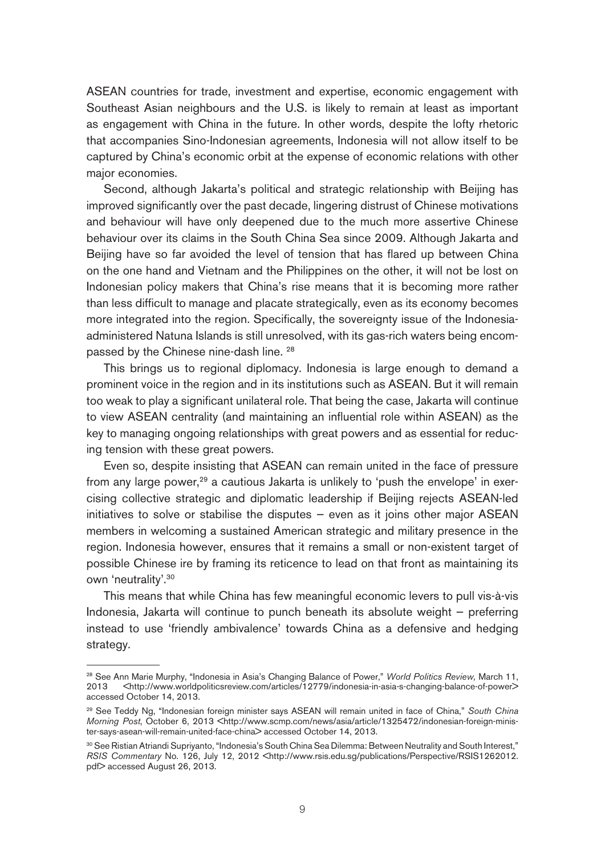ASEAN countries for trade, investment and expertise, economic engagement with Southeast Asian neighbours and the U.S. is likely to remain at least as important as engagement with China in the future. In other words, despite the lofty rhetoric that accompanies Sino-Indonesian agreements, Indonesia will not allow itself to be captured by China's economic orbit at the expense of economic relations with other major economies.

Second, although Jakarta's political and strategic relationship with Beijing has improved significantly over the past decade, lingering distrust of Chinese motivations and behaviour will have only deepened due to the much more assertive Chinese behaviour over its claims in the South China Sea since 2009. Although Jakarta and Beijing have so far avoided the level of tension that has flared up between China on the one hand and Vietnam and the Philippines on the other, it will not be lost on Indonesian policy makers that China's rise means that it is becoming more rather than less difficult to manage and placate strategically, even as its economy becomes more integrated into the region. Specifically, the sovereignty issue of the Indonesiaadministered Natuna Islands is still unresolved, with its gas-rich waters being encompassed by the Chinese nine-dash line. 28

This brings us to regional diplomacy. Indonesia is large enough to demand a prominent voice in the region and in its institutions such as ASEAN. But it will remain too weak to play a significant unilateral role. That being the case, Jakarta will continue to view ASEAN centrality (and maintaining an influential role within ASEAN) as the key to managing ongoing relationships with great powers and as essential for reducing tension with these great powers.

Even so, despite insisting that ASEAN can remain united in the face of pressure from any large power,<sup>29</sup> a cautious Jakarta is unlikely to 'push the envelope' in exercising collective strategic and diplomatic leadership if Beijing rejects ASEAN-led initiatives to solve or stabilise the disputes  $-$  even as it joins other major ASEAN members in welcoming a sustained American strategic and military presence in the region. Indonesia however, ensures that it remains a small or non-existent target of possible Chinese ire by framing its reticence to lead on that front as maintaining its own 'neutrality'.30

This means that while China has few meaningful economic levers to pull vis-à-vis Indonesia, Jakarta will continue to punch beneath its absolute weight — preferring instead to use 'friendly ambivalence' towards China as a defensive and hedging strategy.

<sup>&</sup>lt;sup>28</sup> See Ann Marie Murphy, "Indonesia in Asia's Changing Balance of Power," World Politics Review, March 11, 2013 <http://www.worldpoliticsreview.com/articles/12779/indonesia-in-asia-s-changing-balance-of-power> accessed October 14, 2013.

<sup>&</sup>lt;sup>29</sup> See Teddy Ng, "Indonesian foreign minister says ASEAN will remain united in face of China," South China Morning Post, October 6, 2013 <http://www.scmp.com/news/asia/article/1325472/indonesian-foreign-minister-says-asean-will-remain-united-face-china> accessed October 14, 2013.

<sup>&</sup>lt;sup>30</sup> See Ristian Atriandi Supriyanto, "Indonesia's South China Sea Dilemma: Between Neutrality and South Interest," RSIS Commentary No. 126, July 12, 2012 <http://www.rsis.edu.sg/publications/Perspective/RSIS1262012. pdf> accessed August 26, 2013.